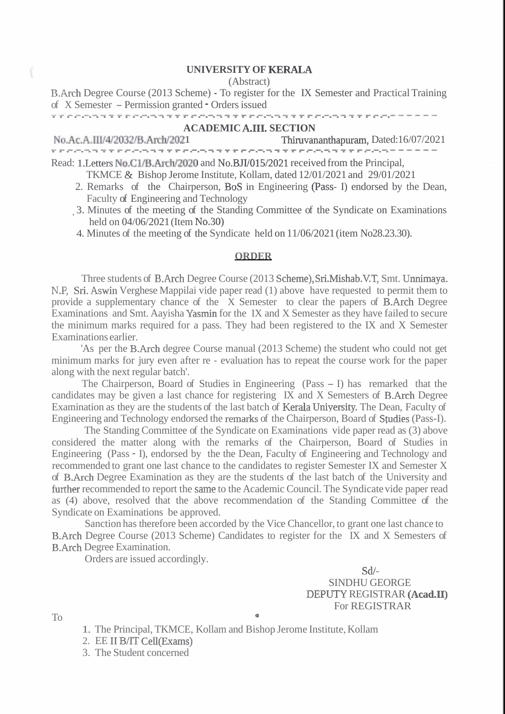## ( **UNIVERSITY OF KERALA**

(Abstract)

B.Arch Degree Course (2013 Scheme) - To register for the IX Semester and Practical Training of X Semester – Permission granted - Orders issued B.Arch Degree Course (2013 Scheme) - 10 register for the 1X Semester and Practi-<br>of X Semester – Permission granted - Orders issued<br> $\frac{1}{2}$ 

## **ACADEMIC A.111. SECTION**

| No.Ac.A.III/4/2032/B.Arch/2021                                                       | Thiruvananthapuram, Dated:16/07/2021 |
|--------------------------------------------------------------------------------------|--------------------------------------|
|                                                                                      |                                      |
| Read: 1. Letters No.C1/B. Arch/2020 and No.BJI/015/2021 received from the Principal, |                                      |

TKMCE & Bishop Jerome Institute, Kollam, dated 12/01/2021 and 29/01/2021

- 2. Remarks of the Chairperson, BoS in Engineering (Pass- I) endorsed by the Dean, Faculty of Engineering and Technology
- ,3. Minutes of the meeting of the Standing Committee of the Syndicate on Examinations held on 04/06/2021 (Item No.30)

4. Minutes of the meeting of the Syndicate held on 11/06/2021 (item No28.23.30).

## **ORDER**

Three students of B.Arch Degree Course (2013 Scheme),Sri.Mishab.V.T, Smt. Unnimaya. N.P, Sri. Aswin Verghese Mappilai vide paper read (1) above have requested to permit them to provide a supplementary chance of the X Semester to clear the papers of B.Arch Degree Examinations and Smt. Aayisha Yasrnin for the IX and X Semester as they have failed to secure the minimum marks required for a pass. They had been registered to the IX and X Semester Examinations earlier.

'As per the B.Arch degree Course manual (2013 Scheme) the student who could not get minimum marks for jury even after re - evaluation has to repeat the course work for the paper along with the next regular batch'.

The Chairperson, Board of Studies in Engineering (Pass - I) has remarked that the candidates may be given a last chance for registering IX and X Semesters of B.Arch Degree Examination as they are the students of the last batch of Kerala Uniyersity. The Dean, Faculty of Engineering and Technology endorsed the remarks of the Chairperson, Board of Studies (Pass-I).

The Standing Committee of the Syndicate on Examinations vide paper read as (3) above considered the matter along with the remarks of the Chairperson, Board of Studies in Engineering (Pass - I), endorsed by the the Dean, Faculty of Engineering and Technology and recommended to grant one last chance to the candidates to register Semester IX and Semester X of B.Arch Degree Examination as they are the students of the last batch of the University and further recommended to report the same to the Academic Council. The Syndicate vide paper read as (4) above, resolved that the above recommendation of the Standing Committee of the Syndicate on Examinations be approved.

Sanction has therefore been accorded by the Vice Chancellor, to grant one last chance to B.Arch Degree Course (2013 Scheme) Candidates to register for the IX and X Semesters of B.Arch Degree Examination.

Orders are issued accordingly.

Sdl-SINDHU GEORGE DEPUTY REGISTRAR **(Acad.11)**  For REGISTRAR

To **<sup>Q</sup>**

- 1. The Principal, TKMCE, Kollam and Bishop Jerome Institute, Kollam
- 2. EE I1 B/IT Cell(Exams)
- 3. The Student concerned